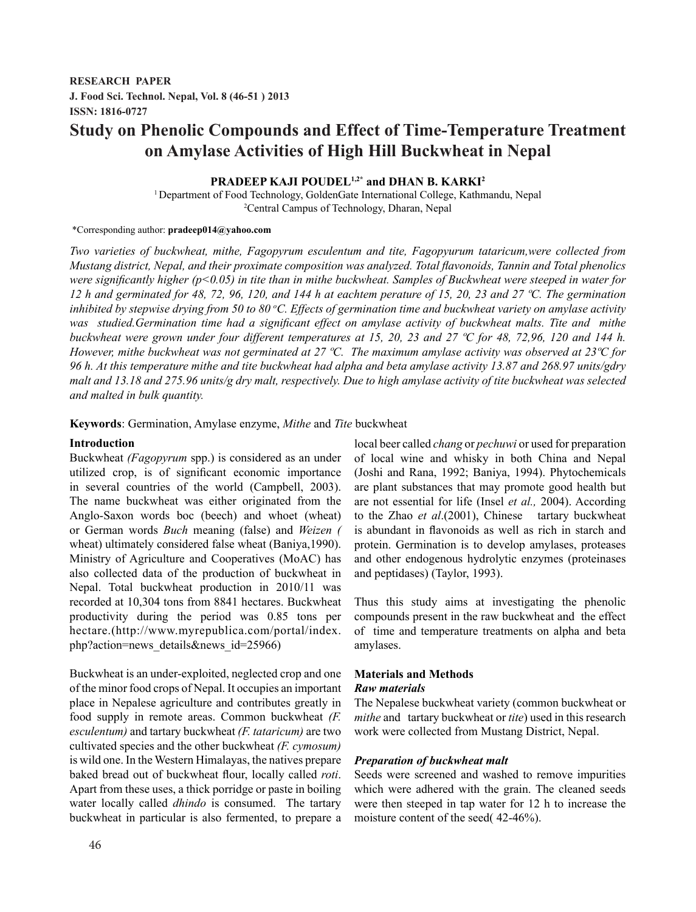# **Study on Phenolic Compounds and Effect of Time-Temperature Treatment on Amylase Activities of High Hill Buckwheat in Nepal**

# **PRADEEP KAJI POUDEL1,2\* and DHAN B. KARKI2**

1 Department of Food Technology, GoldenGate International College, Kathmandu, Nepal 2 Central Campus of Technology, Dharan, Nepal

#### \*Corresponding author: **pradeep014@yahoo.com**

*Two varieties of buckwheat, mithe, Fagopyrum esculentum and tite, Fagopyurum tataricum,were collected from Mustang district, Nepal, and their proximate composition was analyzed. Total flavonoids, Tannin and Total phenolics were significantly higher (p<0.05) in tite than in mithe buckwheat. Samples of Buckwheat were steeped in water for 12 h and germinated for 48, 72, 96, 120, and 144 h at eachtem perature of 15, 20, 23 and 27 ºC. The germination inhibited by stepwise drying from 50 to 80 <sup>o</sup> C. Effects of germination time and buckwheat variety on amylase activity was studied.Germination time had a significant effect on amylase activity of buckwheat malts. Tite and mithe buckwheat were grown under four different temperatures at 15, 20, 23 and 27 ºC for 48, 72,96, 120 and 144 h. However, mithe buckwheat was not germinated at 27 ºC. The maximum amylase activity was observed at 23ºC for 96 h. At this temperature mithe and tite buckwheat had alpha and beta amylase activity 13.87 and 268.97 units/gdry malt and 13.18 and 275.96 units/g dry malt, respectively. Due to high amylase activity of tite buckwheat was selected and malted in bulk quantity.*

**Keywords**: Germination, Amylase enzyme, *Mithe* and *Tite* buckwheat

### **Introduction**

Buckwheat *(Fagopyrum* spp.) is considered as an under utilized crop, is of significant economic importance in several countries of the world (Campbell, 2003). The name buckwheat was either originated from the Anglo-Saxon words boc (beech) and whoet (wheat) or German words *Buch* meaning (false) and *Weizen (* wheat) ultimately considered false wheat (Baniya,1990). Ministry of Agriculture and Cooperatives (MoAC) has also collected data of the production of buckwheat in Nepal. Total buckwheat production in 2010/11 was recorded at 10,304 tons from 8841 hectares. Buckwheat productivity during the period was 0.85 tons per hectare.(http://www.myrepublica.com/portal/index. php?action=news\_details&news\_id=25966)

Buckwheat is an under-exploited, neglected crop and one of the minor food crops of Nepal. It occupies an important place in Nepalese agriculture and contributes greatly in food supply in remote areas. Common buckwheat *(F. esculentum)* and tartary buckwheat *(F. tataricum)* are two cultivated species and the other buckwheat *(F. cymosum)*  is wild one. In the Western Himalayas, the natives prepare baked bread out of buckwheat flour, locally called *roti*. Apart from these uses, a thick porridge or paste in boiling water locally called *dhindo* is consumed. The tartary buckwheat in particular is also fermented, to prepare a

local beer called *chang* or *pechuwi* or used for preparation of local wine and whisky in both China and Nepal (Joshi and Rana, 1992; Baniya, 1994). Phytochemicals are plant substances that may promote good health but are not essential for life (Insel *et al.,* 2004). According to the Zhao *et al*.(2001), Chinese tartary buckwheat is abundant in flavonoids as well as rich in starch and protein. Germination is to develop amylases, proteases and other endogenous hydrolytic enzymes (proteinases and peptidases) (Taylor, 1993).

Thus this study aims at investigating the phenolic compounds present in the raw buckwheat and the effect of time and temperature treatments on alpha and beta amylases.

### **Materials and Methods**

### *Raw materials*

The Nepalese buckwheat variety (common buckwheat or *mithe* and tartary buckwheat or *tite*) used in this research work were collected from Mustang District, Nepal.

### *Preparation of buckwheat malt*

Seeds were screened and washed to remove impurities which were adhered with the grain. The cleaned seeds were then steeped in tap water for 12 h to increase the moisture content of the seed( 42-46%).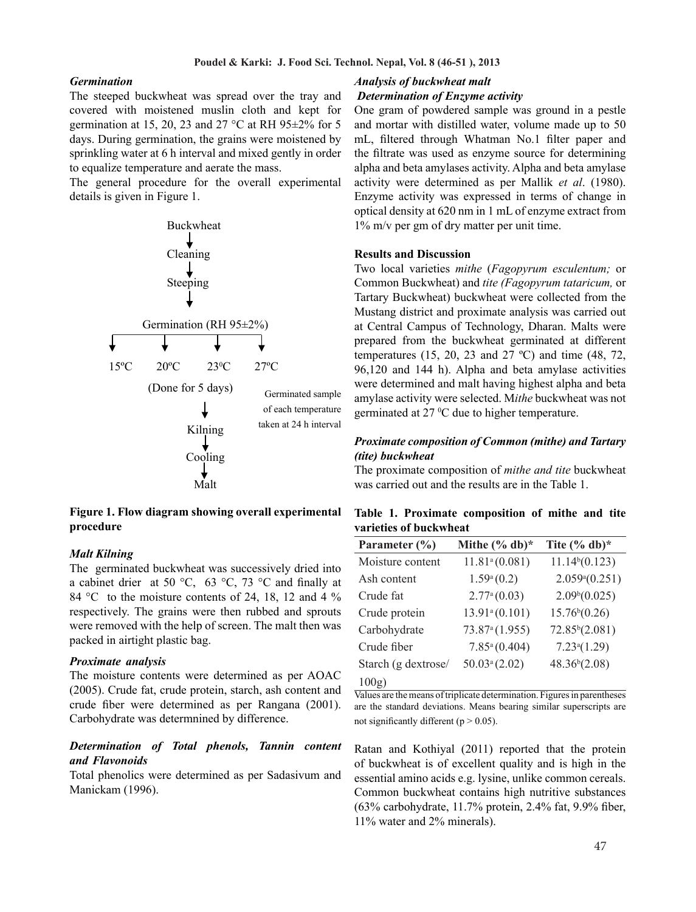### *Germination*

The steeped buckwheat was spread over the tray and covered with moistened muslin cloth and kept for germination at 15, 20, 23 and 27  $\degree$ C at RH 95 $\pm$ 2% for 5 days. During germination, the grains were moistened by sprinkling water at 6 h interval and mixed gently in order to equalize temperature and aerate the mass.

The general procedure for the overall experimental details is given in Figure 1.



**Figure 1. Flow diagram showing overall experimental procedure**

#### *Malt Kilning*

The germinated buckwheat was successively dried into a cabinet drier at 50 °C, 63 °C, 73 °C and finally at 84 °C to the moisture contents of 24, 18, 12 and 4 % respectively. The grains were then rubbed and sprouts were removed with the help of screen. The malt then was packed in airtight plastic bag.

#### *Proximate analysis .*

The moisture contents were determined as per AOAC (2005). Crude fat, crude protein, starch, ash content and crude fiber were determined as per Rangana (2001). Carbohydrate was determnined by difference.

# *Determination of Total phenols, Tannin content and Flavonoids .*

Total phenolics were determined as per Sadasivum and Manickam (1996).

### *Analysis of buckwheat malt Determination of Enzyme activity*

One gram of powdered sample was ground in a pestle and mortar with distilled water, volume made up to 50 mL, filtered through Whatman No.1 filter paper and the filtrate was used as enzyme source for determining alpha and beta amylases activity. Alpha and beta amylase activity were determined as per Mallik *et al*. (1980). Enzyme activity was expressed in terms of change in optical density at 620 nm in 1 mL of enzyme extract from 1% m/v per gm of dry matter per unit time.

#### **Results and Discussion**

Two local varieties *mithe* (*Fagopyrum esculentum;* or Common Buckwheat) and *tite (Fagopyrum tataricum,* or Tartary Buckwheat) buckwheat were collected from the Mustang district and proximate analysis was carried out at Central Campus of Technology, Dharan. Malts were prepared from the buckwheat germinated at different temperatures (15, 20, 23 and 27 °C) and time (48, 72, 96,120 and 144 h). Alpha and beta amylase activities were determined and malt having highest alpha and beta amylase activity were selected. M*ithe* buckwheat was not germinated at  $27 \text{ °C}$  due to higher temperature.

### *Proximate composition of Common (mithe) and Tartary (tite) buckwheat*

The proximate composition of *mithe and tite* buckwheat was carried out and the results are in the Table 1.

|  |                        | Table 1. Proximate composition of mithe and tite |  |  |
|--|------------------------|--------------------------------------------------|--|--|
|  | varieties of buckwheat |                                                  |  |  |

| Parameter $(\% )$   | Mithe $(\%$ db)*           | Tite $(\%$ db)*            |  |
|---------------------|----------------------------|----------------------------|--|
| Moisture content    | 11.81 <sup>a</sup> (0.081) | 11.14 <sup>b</sup> (0.123) |  |
| Ash content         | 1.59 <sup>a</sup> (0.2)    | $2.059*(0.251)$            |  |
| Crude fat           | 2.77 <sup>a</sup> (0.03)   | 2.09 <sup>b</sup> (0.025)  |  |
| Crude protein       | 13.91 <sup>a</sup> (0.101) | 15.76 <sup>b</sup> (0.26)  |  |
| Carbohydrate        | 73.87 <sup>a</sup> (1.955) | 72.85 <sup>b</sup> (2.081) |  |
| Crude fiber         | $7.85^a(0.404)$            | 7.23 <sup>a</sup> (1.29)   |  |
| Starch (g dextrose/ | $50.03^a(2.02)$            | 48.36 <sup>b</sup> (2.08)  |  |
| 100g)               |                            |                            |  |

Values are the means of triplicate determination. Figures in parentheses are the standard deviations. Means bearing similar superscripts are not significantly different ( $p > 0.05$ ).

Ratan and Kothiyal (2011) reported that the protein of buckwheat is of excellent quality and is high in the essential amino acids e.g. lysine, unlike common cereals. Common buckwheat contains high nutritive substances (63% carbohydrate, 11.7% protein, 2.4% fat, 9.9% fiber, 11% water and 2% minerals).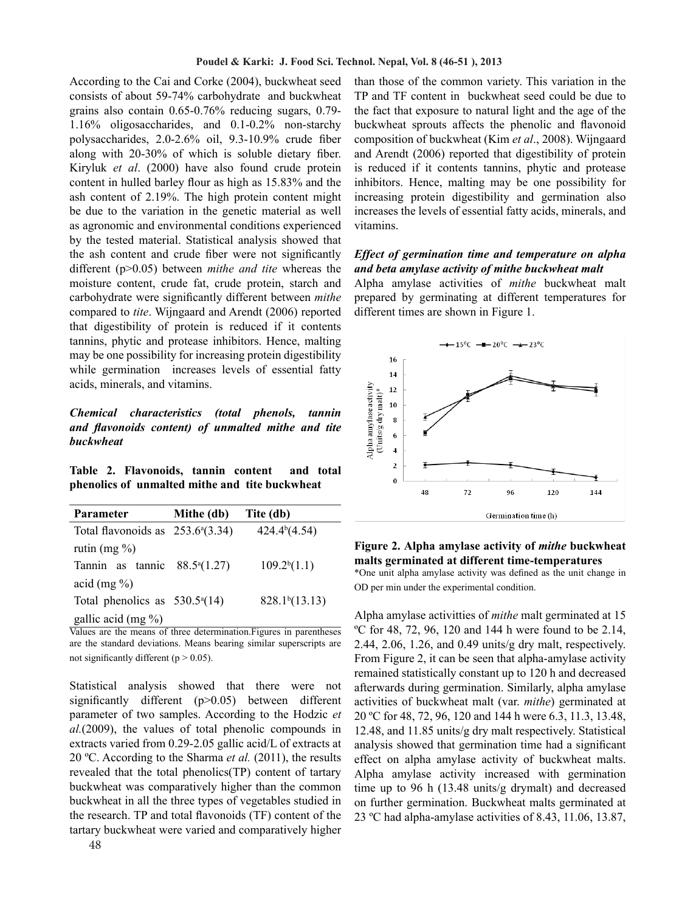According to the Cai and Corke (2004), buckwheat seed consists of about 59-74% carbohydrate and buckwheat grains also contain 0.65-0.76% reducing sugars, 0.79- 1.16% oligosaccharides, and 0.1-0.2% non-starchy polysaccharides, 2.0-2.6% oil, 9.3-10.9% crude fiber along with 20-30% of which is soluble dietary fiber. Kiryluk *et al*. (2000) have also found crude protein content in hulled barley flour as high as 15.83% and the ash content of 2.19%. The high protein content might be due to the variation in the genetic material as well as agronomic and environmental conditions experienced by the tested material. Statistical analysis showed that the ash content and crude fiber were not significantly different (p>0.05) between *mithe and tite* whereas the moisture content, crude fat, crude protein, starch and carbohydrate were significantly different between *mithe*  compared to *tite*. Wijngaard and Arendt (2006) reported that digestibility of protein is reduced if it contents tannins, phytic and protease inhibitors. Hence, malting may be one possibility for increasing protein digestibility while germination increases levels of essential fatty acids, minerals, and vitamins.

## *Chemical characteristics (total phenols, tannin and flavonoids content) of unmalted mithe and tite buckwheat*

**Table 2. Flavonoids, tannin content and total phenolics of unmalted mithe and tite buckwheat**

| <b>Parameter</b>                          | Mithe (db) | Tite (db)                  |  |
|-------------------------------------------|------------|----------------------------|--|
| Total flavonoids as $253.6^{\circ}(3.34)$ |            | 424.4 <sup>b</sup> (4.54)  |  |
| rutin $(mg \%)$                           |            |                            |  |
| Tannin as tannic $88.5^{\circ}(1.27)$     |            | $109.2^b(1.1)$             |  |
| acid $(mg\% )$                            |            |                            |  |
| Total phenolics as $530.5^{\circ}(14)$    |            | 828.1 <sup>b</sup> (13.13) |  |
| gallic acid (mg $\%$ )                    |            |                            |  |

Values are the means of three determination.Figures in parentheses are the standard deviations. Means bearing similar superscripts are not significantly different ( $p > 0.05$ ).

Statistical analysis showed that there were not significantly different (p>0.05) between different parameter of two samples. According to the Hodzic *et al.*(2009), the values of total phenolic compounds in extracts varied from 0.29-2.05 gallic acid/L of extracts at 20 ºC. According to the Sharma *et al.* (2011), the results revealed that the total phenolics(TP) content of tartary buckwheat was comparatively higher than the common buckwheat in all the three types of vegetables studied in the research. TP and total flavonoids (TF) content of the tartary buckwheat were varied and comparatively higher than those of the common variety. This variation in the TP and TF content in buckwheat seed could be due to the fact that exposure to natural light and the age of the buckwheat sprouts affects the phenolic and flavonoid composition of buckwheat (Kim *et al*., 2008). Wijngaard and Arendt (2006) reported that digestibility of protein is reduced if it contents tannins, phytic and protease inhibitors. Hence, malting may be one possibility for increasing protein digestibility and germination also increases the levels of essential fatty acids, minerals, and vitamins.

### *Effect of germination time and temperature on alpha and beta amylase activity of mithe buckwheat malt*

Alpha amylase activities of *mithe* buckwheat malt prepared by germinating at different temperatures for different times are shown in Figure 1.



# **Figure 2. Alpha amylase activity of** *mithe* **buckwheat malts germinated at different time-temperatures**

\*One unit alpha amylase activity was defined as the unit change in OD per min under the experimental condition.

Alpha amylase activitties of *mithe* malt germinated at 15 ºC for 48, 72, 96, 120 and 144 h were found to be 2.14, 2.44, 2.06, 1.26, and 0.49 units/g dry malt, respectively. From Figure 2, it can be seen that alpha-amylase activity remained statistically constant up to 120 h and decreased afterwards during germination. Similarly, alpha amylase activities of buckwheat malt (var. *mithe*) germinated at 20 ºC for 48, 72, 96, 120 and 144 h were 6.3, 11.3, 13.48, 12.48, and 11.85 units/g dry malt respectively. Statistical analysis showed that germination time had a significant effect on alpha amylase activity of buckwheat malts. Alpha amylase activity increased with germination time up to 96 h (13.48 units/g drymalt) and decreased on further germination. Buckwheat malts germinated at 23 ºC had alpha-amylase activities of 8.43, 11.06, 13.87,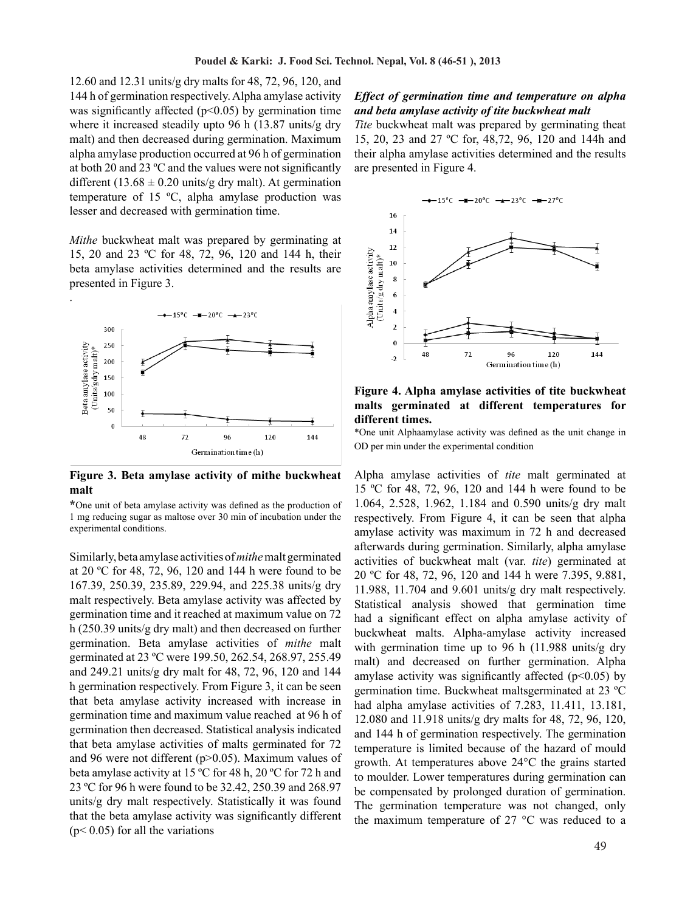12.60 and 12.31 units/g dry malts for 48, 72, 96, 120, and 144 h of germination respectively. Alpha amylase activity was significantly affected ( $p<0.05$ ) by germination time where it increased steadily upto 96 h (13.87 units/g dry malt) and then decreased during germination. Maximum alpha amylase production occurred at 96 h of germination at both 20 and 23 ºC and the values were not significantly different (13.68  $\pm$  0.20 units/g dry malt). At germination temperature of 15 ºC, alpha amylase production was lesser and decreased with germination time.

*Mithe* buckwheat malt was prepared by germinating at 15, 20 and 23 ºC for 48, 72, 96, 120 and 144 h, their beta amylase activities determined and the results are presented in Figure 3.



**Figure 3. Beta amylase activity of mithe buckwheat malt**

**\***One unit of beta amylase activity was defined as the production of 1 mg reducing sugar as maltose over 30 min of incubation under the experimental conditions.

Similarly, beta amylase activities of *mithe* malt germinated at 20 ºC for 48, 72, 96, 120 and 144 h were found to be 167.39, 250.39, 235.89, 229.94, and 225.38 units/g dry malt respectively. Beta amylase activity was affected by germination time and it reached at maximum value on 72 h (250.39 units/g dry malt) and then decreased on further germination. Beta amylase activities of *mithe* malt germinated at 23 ºC were 199.50, 262.54, 268.97, 255.49 and 249.21 units/g dry malt for 48, 72, 96, 120 and 144 h germination respectively. From Figure 3, it can be seen that beta amylase activity increased with increase in germination time and maximum value reached at 96 h of germination then decreased. Statistical analysis indicated that beta amylase activities of malts germinated for 72 and 96 were not different (p>0.05). Maximum values of beta amylase activity at 15 ºC for 48 h, 20 ºC for 72 h and 23 ºC for 96 h were found to be 32.42, 250.39 and 268.97 units/g dry malt respectively. Statistically it was found that the beta amylase activity was significantly different  $(p< 0.05)$  for all the variations

### *Effect of germination time and temperature on alpha and beta amylase activity of tite buckwheat malt*

*Tite* buckwheat malt was prepared by germinating theat 15, 20, 23 and 27 ºC for, 48,72, 96, 120 and 144h and their alpha amylase activities determined and the results are presented in Figure 4.



**Figure 4. Alpha amylase activities of tite buckwheat malts germinated at different temperatures for different times.**

\*One unit Alphaamylase activity was defined as the unit change in OD per min under the experimental condition

Alpha amylase activities of *tite* malt germinated at 15 ºC for 48, 72, 96, 120 and 144 h were found to be 1.064, 2.528, 1.962, 1.184 and 0.590 units/g dry malt respectively. From Figure 4, it can be seen that alpha amylase activity was maximum in 72 h and decreased afterwards during germination. Similarly, alpha amylase activities of buckwheat malt (var. *tite*) germinated at 20 ºC for 48, 72, 96, 120 and 144 h were 7.395, 9.881, 11.988, 11.704 and 9.601 units/g dry malt respectively. Statistical analysis showed that germination time had a significant effect on alpha amylase activity of buckwheat malts. Alpha-amylase activity increased with germination time up to 96 h (11.988 units/g dry malt) and decreased on further germination. Alpha amylase activity was significantly affected  $(p<0.05)$  by germination time. Buckwheat maltsgerminated at 23 ºC had alpha amylase activities of 7.283, 11.411, 13.181, 12.080 and 11.918 units/g dry malts for 48, 72, 96, 120, and 144 h of germination respectively. The germination temperature is limited because of the hazard of mould growth. At temperatures above 24°C the grains started to moulder. Lower temperatures during germination can be compensated by prolonged duration of germination. The germination temperature was not changed, only the maximum temperature of 27 °C was reduced to a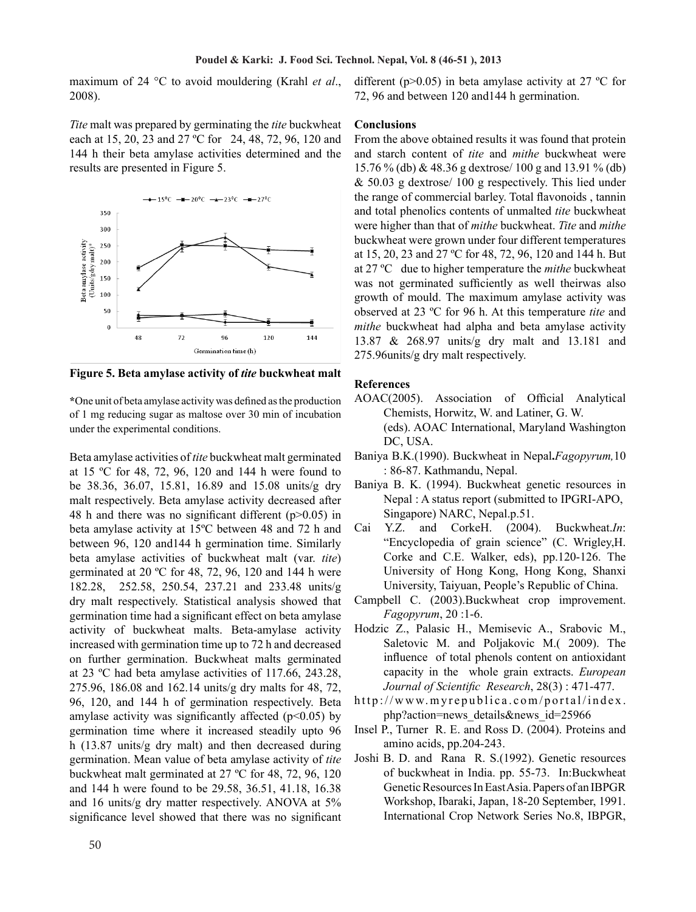maximum of 24 °C to avoid mouldering (Krahl *et al*., 2008).

*Tite* malt was prepared by germinating the *tite* buckwheat each at 15, 20, 23 and 27 ºC for 24, 48, 72, 96, 120 and 144 h their beta amylase activities determined and the results are presented in Figure 5.



**Figure 5. Beta amylase activity of** *tite* **buckwheat malt**

**\***One unit of beta amylase activity was defined as the production of 1 mg reducing sugar as maltose over 30 min of incubation under the experimental conditions.

Beta amylase activities of *tite* buckwheat malt germinated at 15 ºC for 48, 72, 96, 120 and 144 h were found to be 38.36, 36.07, 15.81, 16.89 and 15.08 units/g dry malt respectively. Beta amylase activity decreased after 48 h and there was no significant different  $(p>0.05)$  in beta amylase activity at 15ºC between 48 and 72 h and between 96, 120 and144 h germination time. Similarly beta amylase activities of buckwheat malt (var. *tite*) germinated at 20 ºC for 48, 72, 96, 120 and 144 h were 182.28, 252.58, 250.54, 237.21 and 233.48 units/g dry malt respectively. Statistical analysis showed that germination time had a significant effect on beta amylase activity of buckwheat malts. Beta-amylase activity increased with germination time up to 72 h and decreased on further germination. Buckwheat malts germinated at 23 ºC had beta amylase activities of 117.66, 243.28, 275.96, 186.08 and 162.14 units/g dry malts for 48, 72, 96, 120, and 144 h of germination respectively. Beta amylase activity was significantly affected  $(p<0.05)$  by germination time where it increased steadily upto 96 h (13.87 units/g dry malt) and then decreased during germination. Mean value of beta amylase activity of *tite*  buckwheat malt germinated at 27 ºC for 48, 72, 96, 120 and 144 h were found to be 29.58, 36.51, 41.18, 16.38 and 16 units/g dry matter respectively. ANOVA at 5% significance level showed that there was no significant different (p $>0.05$ ) in beta amylase activity at 27 °C for 72, 96 and between 120 and144 h germination.

#### **Conclusions**

From the above obtained results it was found that protein and starch content of *tite* and *mithe* buckwheat were 15.76 % (db) & 48.36 g dextrose/ 100 g and 13.91 % (db)  $& 50.03$  g dextrose/ 100 g respectively. This lied under the range of commercial barley. Total flavonoids , tannin and total phenolics contents of unmalted *tite* buckwheat were higher than that of *mithe* buckwheat. *Tite* and *mithe*  buckwheat were grown under four different temperatures at 15, 20, 23 and 27 ºC for 48, 72, 96, 120 and 144 h. But at 27 ºC due to higher temperature the *mithe* buckwheat was not germinated sufficiently as well theirwas also growth of mould. The maximum amylase activity was observed at 23 ºC for 96 h. At this temperature *tite* and *mithe* buckwheat had alpha and beta amylase activity 13.87 & 268.97 units/g dry malt and 13.181 and 275.96units/g dry malt respectively.

## **References**

- AOAC(2005). Association of Official Analytical Chemists, Horwitz, W. and Latiner, G. W. (eds). AOAC International, Maryland Washington DC, USA.
- Baniya B.K.(1990). Buckwheat in Nepal**.***Fagopyrum,*10 : 86-87. Kathmandu, Nepal.
- Baniya B. K. (1994). Buckwheat genetic resources in Nepal : A status report (submitted to IPGRI-APO, Singapore) NARC, Nepal.p.51.
- Cai Y.Z. and CorkeH. (2004). Buckwheat.*In*: "Encyclopedia of grain science" (C. Wrigley,H. Corke and C.E. Walker, eds), pp.120-126. The University of Hong Kong, Hong Kong, Shanxi University, Taiyuan, People's Republic of China.
- Campbell C. (2003).Buckwheat crop improvement. *Fagopyrum*, 20 :1-6.
- Hodzic Z., Palasic H., Memisevic A., Srabovic M., Saletovic M. and Poljakovic M.( 2009). The influence of total phenols content on antioxidant capacity in the whole grain extracts. *European Journal of Scientific Research*, 28(3) : 471-477.
- http://www.myrepublica.com/portal/index. php?action=news\_details&news\_id=25966
- Insel P., Turner R. E. and Ross D. (2004). Proteins and amino acids, pp.204-243.
- Joshi B. D. and Rana R. S.(1992). Genetic resources of buckwheat in India. pp. 55-73. In:Buckwheat Genetic Resources In East Asia. Papers of an IBPGR Workshop, Ibaraki, Japan, 18-20 September, 1991. International Crop Network Series No.8, IBPGR,